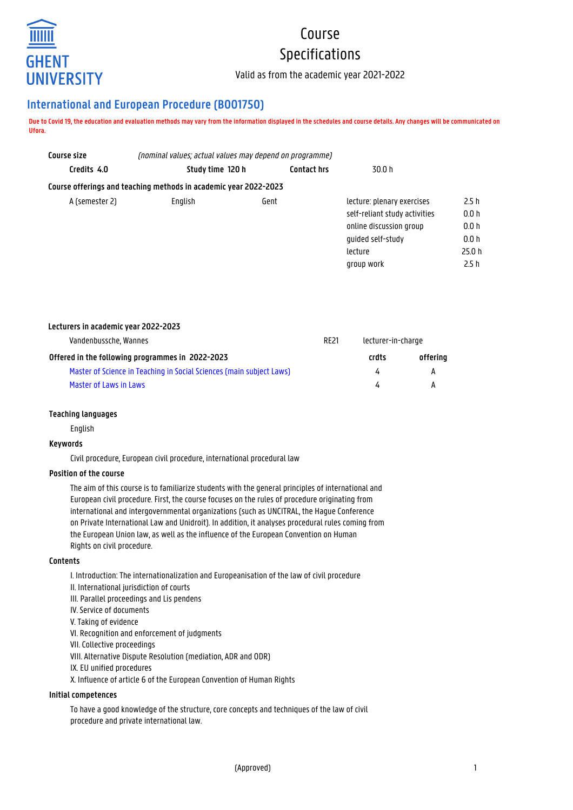

# Course Specifications

Valid as from the academic year 2021-2022

# **International and European Procedure (B001750)**

**Due to Covid 19, the education and evaluation methods may vary from the information displayed in the schedules and course details. Any changes will be communicated on Ufora.**

| Course size    | (nominal values; actual values may depend on programme)          |                    |                               |        |
|----------------|------------------------------------------------------------------|--------------------|-------------------------------|--------|
| Credits 4.0    | Study time 120 h                                                 | <b>Contact hrs</b> | 30.0 h                        |        |
|                | Course offerings and teaching methods in academic year 2022-2023 |                    |                               |        |
| A (semester 2) | Enalish                                                          | Gent               | lecture: plenary exercises    | 2.5h   |
|                |                                                                  |                    | self-reliant study activities | 0.0 h  |
|                |                                                                  |                    | online discussion group       | 0.0 h  |
|                |                                                                  |                    | quided self-study             | 0.0 h  |
|                |                                                                  |                    | lecture                       | 25.0 h |
|                |                                                                  |                    | group work                    | 2.5h   |

| Lecturers in academic year 2022-2023                                 |  |                    |          |
|----------------------------------------------------------------------|--|--------------------|----------|
| Vandenbussche, Wannes                                                |  | lecturer-in-charge |          |
| Offered in the following programmes in 2022-2023                     |  | crdts              | offerina |
| Master of Science in Teaching in Social Sciences (main subject Laws) |  | 4                  | А        |
| Master of Laws in Laws                                               |  | 4                  |          |

# **Teaching languages**

English

# **Keywords**

Civil procedure, European civil procedure, international procedural law

# **Position of the course**

The aim of this course is to familiarize students with the general principles of international and European civil procedure. First, the course focuses on the rules of procedure originating from international and intergovernmental organizations (such as UNCITRAL, the Hague Conference on Private International Law and Unidroit). In addition, it analyses procedural rules coming from the European Union law, as well as the influence of the European Convention on Human Rights on civil procedure.

# **Contents**

I. Introduction: The internationalization and Europeanisation of the law of civil procedure II. International jurisdiction of courts III. Parallel proceedings and Lis pendens IV. Service of documents V. Taking of evidence VI. Recognition and enforcement of judgments VII. Collective proceedings VIII. Alternative Dispute Resolution (mediation, ADR and ODR) IX. EU unified procedures X. Influence of article 6 of the European Convention of Human Rights

# **Initial competences**

To have a good knowledge of the structure, core concepts and techniques of the law of civil procedure and private international law.